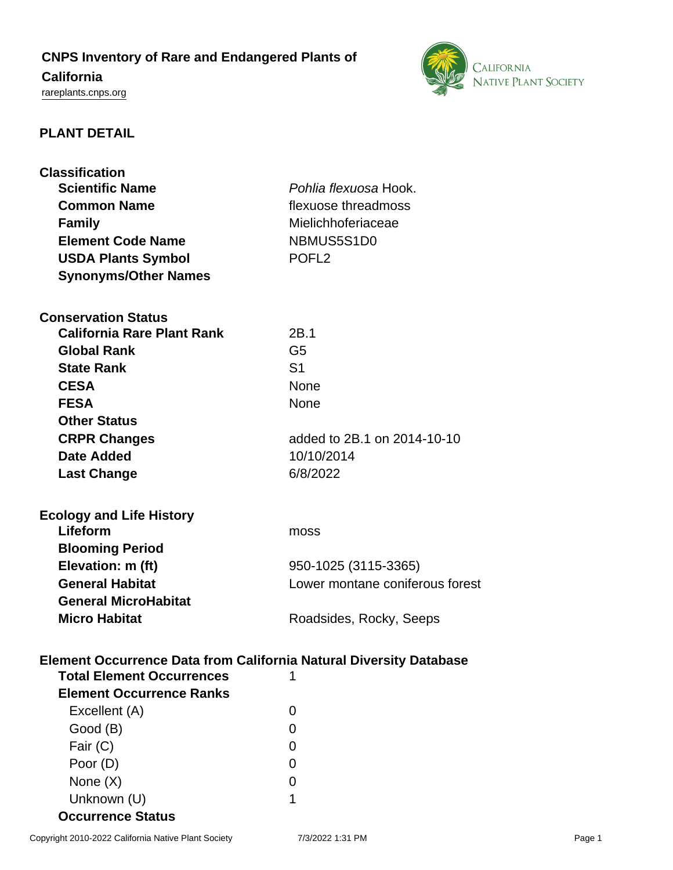# **CNPS Inventory of Rare and Endangered Plants of**

## **California**

<rareplants.cnps.org>



### **PLANT DETAIL**

| <b>Classification</b><br><b>Scientific Name</b><br><b>Common Name</b>     | Pohlia flexuosa Hook.<br>flexuose threadmoss |  |
|---------------------------------------------------------------------------|----------------------------------------------|--|
| <b>Family</b>                                                             | Mielichhoferiaceae                           |  |
| <b>Element Code Name</b>                                                  | NBMUS5S1D0                                   |  |
| <b>USDA Plants Symbol</b>                                                 | POFL <sub>2</sub>                            |  |
| <b>Synonyms/Other Names</b>                                               |                                              |  |
|                                                                           |                                              |  |
| <b>Conservation Status</b>                                                |                                              |  |
| <b>California Rare Plant Rank</b>                                         | 2B.1                                         |  |
| <b>Global Rank</b>                                                        | G <sub>5</sub>                               |  |
| <b>State Rank</b>                                                         | S <sub>1</sub>                               |  |
| <b>CESA</b>                                                               | <b>None</b>                                  |  |
| <b>FESA</b>                                                               | <b>None</b>                                  |  |
| <b>Other Status</b>                                                       |                                              |  |
| <b>CRPR Changes</b>                                                       | added to 2B.1 on 2014-10-10                  |  |
| <b>Date Added</b>                                                         | 10/10/2014                                   |  |
| <b>Last Change</b>                                                        | 6/8/2022                                     |  |
|                                                                           |                                              |  |
| <b>Ecology and Life History</b>                                           |                                              |  |
| Lifeform                                                                  | moss                                         |  |
| <b>Blooming Period</b>                                                    |                                              |  |
| Elevation: m (ft)                                                         | 950-1025 (3115-3365)                         |  |
| <b>General Habitat</b>                                                    | Lower montane coniferous forest              |  |
| <b>General MicroHabitat</b>                                               |                                              |  |
| <b>Micro Habitat</b>                                                      | Roadsides, Rocky, Seeps                      |  |
|                                                                           |                                              |  |
|                                                                           |                                              |  |
| <b>Element Occurrence Data from California Natural Diversity Database</b> |                                              |  |
| <b>Total Element Occurrences</b>                                          |                                              |  |
| <b>Element Occurrence Ranks</b>                                           |                                              |  |
| Excellent (A)                                                             | 0                                            |  |
| Good (B)                                                                  | 0                                            |  |
| Fair (C)                                                                  | $\overline{0}$                               |  |
| Poor (D)                                                                  | 0                                            |  |
| None $(X)$                                                                |                                              |  |
|                                                                           | 0                                            |  |

**Occurrence Status**